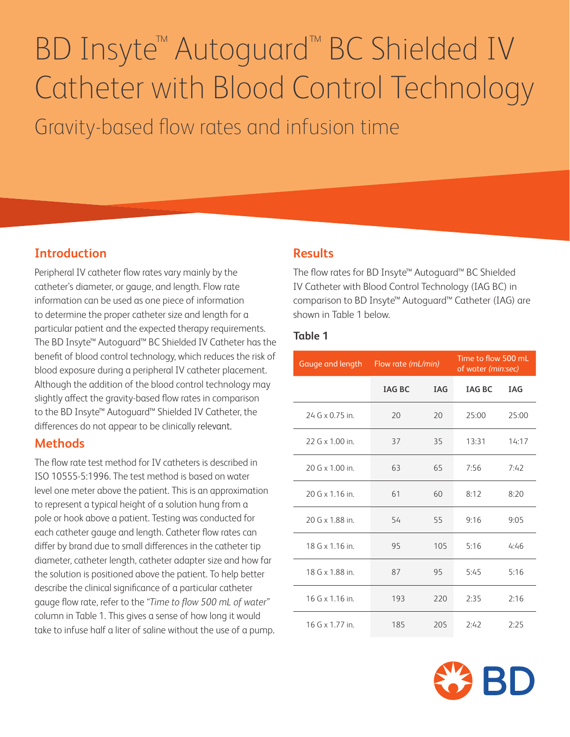# BD Insyte™ Autoguard™ BC Shielded IV Catheter with Blood Control Technology Gravity-based flow rates and infusion time

# **Introduction**

Peripheral IV catheter flow rates vary mainly by the catheter's diameter, or gauge, and length. Flow rate information can be used as one piece of information to determine the proper catheter size and length for a particular patient and the expected therapy requirements. The BD Insyte™ Autoguard™ BC Shielded IV Catheter has the benefit of blood control technology, which reduces the risk of blood exposure during a peripheral IV catheter placement. Although the addition of the blood control technology may slightly affect the gravity-based flow rates in comparison to the BD Insyte™ Autoguard™ Shielded IV Catheter, the differences do not appear to be clinically relevant.

### **Methods**

The flow rate test method for IV catheters is described in ISO 10555-5:1996. The test method is based on water level one meter above the patient. This is an approximation to represent a typical height of a solution hung from a pole or hook above a patient. Testing was conducted for each catheter gauge and length. Catheter flow rates can differ by brand due to small differences in the catheter tip diameter, catheter length, catheter adapter size and how far the solution is positioned above the patient. To help better describe the clinical significance of a particular catheter gauge flow rate, refer to the *"Time to flow 500 mL of water"* column in Table 1. This gives a sense of how long it would take to infuse half a liter of saline without the use of a pump.

### **Results**

The flow rates for BD Insyte™ Autoguard™ BC Shielded IV Catheter with Blood Control Technology (IAG BC) in comparison to BD Insyte™ Autoguard™ Catheter (IAG) are shown in Table 1 below.

#### **Table 1**

|                  | Gauge and length Flow rate (mL/min) |            | Time to flow 500 mL<br>of water (min:sec) |            |
|------------------|-------------------------------------|------------|-------------------------------------------|------------|
|                  | <b>TAG BC</b>                       | <b>TAG</b> | <b>TAG BC</b>                             | <b>IAG</b> |
| 24 G x 0.75 in.  | 20                                  | 20         | 25:00                                     | 25:00      |
| 22 G x 1.00 in.  | 37                                  | 35         | 13:31                                     | 14:17      |
| 20 G x 1.00 in.  | 63                                  | 65         | 7:56                                      | 7:42       |
| 20 G x 1.16 in.  | 61                                  | 60         | 8:12                                      | 8:20       |
| 20 G x 1.88 in   | 54                                  | 55         | 9:16                                      | 9:05       |
| $18 G x 1.16$ in | 95                                  | 105        | 5:16                                      | 4:46       |
| 18 G x 1.88 in   | 87                                  | 95         | 5:45                                      | 5:16       |
| $16 Gx 1.16$ in  | 193                                 | 220        | 2:35                                      | 2:16       |
| $16 Gx 1.77$ in  | 185                                 | 205        | 2:42                                      | 2:25       |